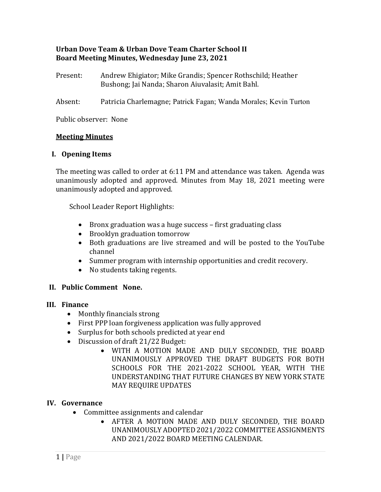## **Urban Dove Team & Urban Dove Team Charter School II Board Meeting Minutes, Wednesday June 23, 2021**

- Present: Andrew Ehigiator; Mike Grandis; Spencer Rothschild; Heather Bushong; Jai Nanda; Sharon Aiuvalasit; Amit Bahl.
- Absent: Patricia Charlemagne; Patrick Fagan; Wanda Morales; Kevin Turton

Public observer: None

### **Meeting Minutes**

### **I. Opening Items**

The meeting was called to order at 6:11 PM and attendance was taken. Agenda was unanimously adopted and approved. Minutes from May 18, 2021 meeting were unanimously adopted and approved.

School Leader Report Highlights:

- Bronx graduation was a huge success first graduating class
- Brooklyn graduation tomorrow
- Both graduations are live streamed and will be posted to the YouTube channel
- Summer program with internship opportunities and credit recovery.
- No students taking regents.

## **II. Public Comment None.**

#### **III. Finance**

- Monthly financials strong
- First PPP loan forgiveness application was fully approved
- Surplus for both schools predicted at year end
- Discussion of draft 21/22 Budget:
	- WITH A MOTION MADE AND DULY SECONDED, THE BOARD UNANIMOUSLY APPROVED THE DRAFT BUDGETS FOR BOTH SCHOOLS FOR THE 2021-2022 SCHOOL YEAR, WITH THE UNDERSTANDING THAT FUTURE CHANGES BY NEW YORK STATE MAY REQUIRE UPDATES

## **IV. Governance**

- Committee assignments and calendar
	- AFTER A MOTION MADE AND DULY SECONDED, THE BOARD UNANIMOUSLY ADOPTED 2021/2022 COMMITTEE ASSIGNMENTS AND 2021/2022 BOARD MEETING CALENDAR.